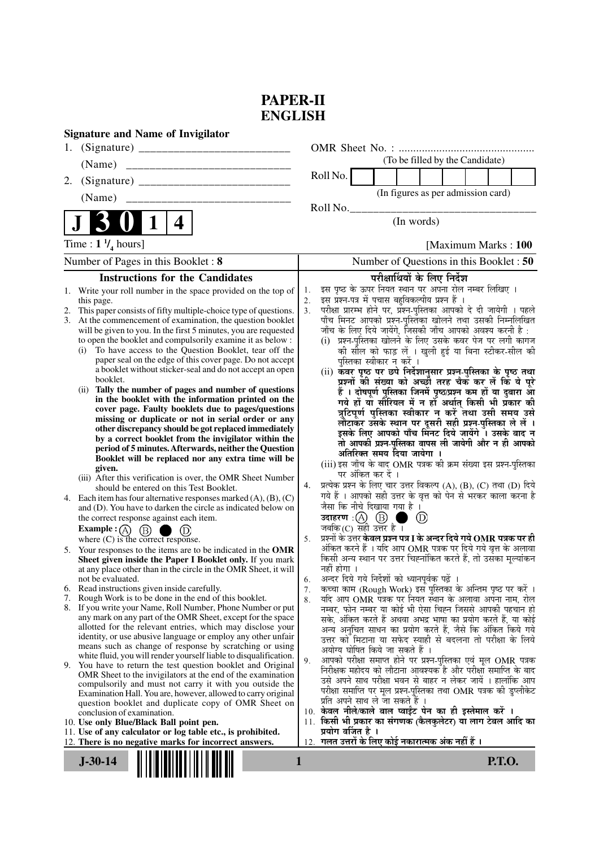## **PAPER-II ENGLISH**

| <b>Signature and Name of Invigilator</b>                                                                                                                                                                                                                                                                                                                                                                                                                                                                                                                                                                                                                                                                                                                                                                                                                                                                                                                                                                                                                                                                                                                                                                                                                                                                                                                                                                                                                                                                                                                                                                                                                                                                                                                                                                                                                                                                                                                                                                                                                                                                                                                                                                                                                                                                                                                                                                                                                                                                                     |                                                                                                                                                                                                                                                                                                                                                                                                                                                                                                                                                                                                                                                                                                                                                                                                                                                                                                                                                                                                                                                                                                                                                                                                                                                                                                                                                                                                                                                                                                                                                                                                                                                                                                                                                                                                                                                                                                                                                                                                                                                                                                                                                                                                                                                                                                                                                                                                                                                                                                                                                     |
|------------------------------------------------------------------------------------------------------------------------------------------------------------------------------------------------------------------------------------------------------------------------------------------------------------------------------------------------------------------------------------------------------------------------------------------------------------------------------------------------------------------------------------------------------------------------------------------------------------------------------------------------------------------------------------------------------------------------------------------------------------------------------------------------------------------------------------------------------------------------------------------------------------------------------------------------------------------------------------------------------------------------------------------------------------------------------------------------------------------------------------------------------------------------------------------------------------------------------------------------------------------------------------------------------------------------------------------------------------------------------------------------------------------------------------------------------------------------------------------------------------------------------------------------------------------------------------------------------------------------------------------------------------------------------------------------------------------------------------------------------------------------------------------------------------------------------------------------------------------------------------------------------------------------------------------------------------------------------------------------------------------------------------------------------------------------------------------------------------------------------------------------------------------------------------------------------------------------------------------------------------------------------------------------------------------------------------------------------------------------------------------------------------------------------------------------------------------------------------------------------------------------------|-----------------------------------------------------------------------------------------------------------------------------------------------------------------------------------------------------------------------------------------------------------------------------------------------------------------------------------------------------------------------------------------------------------------------------------------------------------------------------------------------------------------------------------------------------------------------------------------------------------------------------------------------------------------------------------------------------------------------------------------------------------------------------------------------------------------------------------------------------------------------------------------------------------------------------------------------------------------------------------------------------------------------------------------------------------------------------------------------------------------------------------------------------------------------------------------------------------------------------------------------------------------------------------------------------------------------------------------------------------------------------------------------------------------------------------------------------------------------------------------------------------------------------------------------------------------------------------------------------------------------------------------------------------------------------------------------------------------------------------------------------------------------------------------------------------------------------------------------------------------------------------------------------------------------------------------------------------------------------------------------------------------------------------------------------------------------------------------------------------------------------------------------------------------------------------------------------------------------------------------------------------------------------------------------------------------------------------------------------------------------------------------------------------------------------------------------------------------------------------------------------------------------------------------------------|
| 1.                                                                                                                                                                                                                                                                                                                                                                                                                                                                                                                                                                                                                                                                                                                                                                                                                                                                                                                                                                                                                                                                                                                                                                                                                                                                                                                                                                                                                                                                                                                                                                                                                                                                                                                                                                                                                                                                                                                                                                                                                                                                                                                                                                                                                                                                                                                                                                                                                                                                                                                           |                                                                                                                                                                                                                                                                                                                                                                                                                                                                                                                                                                                                                                                                                                                                                                                                                                                                                                                                                                                                                                                                                                                                                                                                                                                                                                                                                                                                                                                                                                                                                                                                                                                                                                                                                                                                                                                                                                                                                                                                                                                                                                                                                                                                                                                                                                                                                                                                                                                                                                                                                     |
| (Name)                                                                                                                                                                                                                                                                                                                                                                                                                                                                                                                                                                                                                                                                                                                                                                                                                                                                                                                                                                                                                                                                                                                                                                                                                                                                                                                                                                                                                                                                                                                                                                                                                                                                                                                                                                                                                                                                                                                                                                                                                                                                                                                                                                                                                                                                                                                                                                                                                                                                                                                       | (To be filled by the Candidate)                                                                                                                                                                                                                                                                                                                                                                                                                                                                                                                                                                                                                                                                                                                                                                                                                                                                                                                                                                                                                                                                                                                                                                                                                                                                                                                                                                                                                                                                                                                                                                                                                                                                                                                                                                                                                                                                                                                                                                                                                                                                                                                                                                                                                                                                                                                                                                                                                                                                                                                     |
| 2.                                                                                                                                                                                                                                                                                                                                                                                                                                                                                                                                                                                                                                                                                                                                                                                                                                                                                                                                                                                                                                                                                                                                                                                                                                                                                                                                                                                                                                                                                                                                                                                                                                                                                                                                                                                                                                                                                                                                                                                                                                                                                                                                                                                                                                                                                                                                                                                                                                                                                                                           | Roll No.                                                                                                                                                                                                                                                                                                                                                                                                                                                                                                                                                                                                                                                                                                                                                                                                                                                                                                                                                                                                                                                                                                                                                                                                                                                                                                                                                                                                                                                                                                                                                                                                                                                                                                                                                                                                                                                                                                                                                                                                                                                                                                                                                                                                                                                                                                                                                                                                                                                                                                                                            |
|                                                                                                                                                                                                                                                                                                                                                                                                                                                                                                                                                                                                                                                                                                                                                                                                                                                                                                                                                                                                                                                                                                                                                                                                                                                                                                                                                                                                                                                                                                                                                                                                                                                                                                                                                                                                                                                                                                                                                                                                                                                                                                                                                                                                                                                                                                                                                                                                                                                                                                                              | (In figures as per admission card)                                                                                                                                                                                                                                                                                                                                                                                                                                                                                                                                                                                                                                                                                                                                                                                                                                                                                                                                                                                                                                                                                                                                                                                                                                                                                                                                                                                                                                                                                                                                                                                                                                                                                                                                                                                                                                                                                                                                                                                                                                                                                                                                                                                                                                                                                                                                                                                                                                                                                                                  |
| $\mathbf{1}$<br>4                                                                                                                                                                                                                                                                                                                                                                                                                                                                                                                                                                                                                                                                                                                                                                                                                                                                                                                                                                                                                                                                                                                                                                                                                                                                                                                                                                                                                                                                                                                                                                                                                                                                                                                                                                                                                                                                                                                                                                                                                                                                                                                                                                                                                                                                                                                                                                                                                                                                                                            | Roll No.<br>(In words)                                                                                                                                                                                                                                                                                                                                                                                                                                                                                                                                                                                                                                                                                                                                                                                                                                                                                                                                                                                                                                                                                                                                                                                                                                                                                                                                                                                                                                                                                                                                                                                                                                                                                                                                                                                                                                                                                                                                                                                                                                                                                                                                                                                                                                                                                                                                                                                                                                                                                                                              |
| Time : $1 \frac{1}{4}$ hours]                                                                                                                                                                                                                                                                                                                                                                                                                                                                                                                                                                                                                                                                                                                                                                                                                                                                                                                                                                                                                                                                                                                                                                                                                                                                                                                                                                                                                                                                                                                                                                                                                                                                                                                                                                                                                                                                                                                                                                                                                                                                                                                                                                                                                                                                                                                                                                                                                                                                                                | [Maximum Marks: 100]                                                                                                                                                                                                                                                                                                                                                                                                                                                                                                                                                                                                                                                                                                                                                                                                                                                                                                                                                                                                                                                                                                                                                                                                                                                                                                                                                                                                                                                                                                                                                                                                                                                                                                                                                                                                                                                                                                                                                                                                                                                                                                                                                                                                                                                                                                                                                                                                                                                                                                                                |
| Number of Pages in this Booklet: 8                                                                                                                                                                                                                                                                                                                                                                                                                                                                                                                                                                                                                                                                                                                                                                                                                                                                                                                                                                                                                                                                                                                                                                                                                                                                                                                                                                                                                                                                                                                                                                                                                                                                                                                                                                                                                                                                                                                                                                                                                                                                                                                                                                                                                                                                                                                                                                                                                                                                                           | Number of Questions in this Booklet: 50                                                                                                                                                                                                                                                                                                                                                                                                                                                                                                                                                                                                                                                                                                                                                                                                                                                                                                                                                                                                                                                                                                                                                                                                                                                                                                                                                                                                                                                                                                                                                                                                                                                                                                                                                                                                                                                                                                                                                                                                                                                                                                                                                                                                                                                                                                                                                                                                                                                                                                             |
| <b>Instructions for the Candidates</b>                                                                                                                                                                                                                                                                                                                                                                                                                                                                                                                                                                                                                                                                                                                                                                                                                                                                                                                                                                                                                                                                                                                                                                                                                                                                                                                                                                                                                                                                                                                                                                                                                                                                                                                                                                                                                                                                                                                                                                                                                                                                                                                                                                                                                                                                                                                                                                                                                                                                                       | परीक्षार्थियों के लिए निर्देश                                                                                                                                                                                                                                                                                                                                                                                                                                                                                                                                                                                                                                                                                                                                                                                                                                                                                                                                                                                                                                                                                                                                                                                                                                                                                                                                                                                                                                                                                                                                                                                                                                                                                                                                                                                                                                                                                                                                                                                                                                                                                                                                                                                                                                                                                                                                                                                                                                                                                                                       |
| 1. Write your roll number in the space provided on the top of<br>this page.<br>This paper consists of fifty multiple-choice type of questions.<br>2.<br>3. At the commencement of examination, the question booklet<br>will be given to you. In the first 5 minutes, you are requested<br>to open the booklet and compulsorily examine it as below :<br>To have access to the Question Booklet, tear off the<br>(i)<br>paper seal on the edge of this cover page. Do not accept<br>a booklet without sticker-seal and do not accept an open<br>booklet.<br>Tally the number of pages and number of questions<br>(i)<br>in the booklet with the information printed on the<br>cover page. Faulty booklets due to pages/questions<br>missing or duplicate or not in serial order or any<br>other discrepancy should be got replaced immediately<br>by a correct booklet from the invigilator within the<br>period of 5 minutes. Afterwards, neither the Question<br>Booklet will be replaced nor any extra time will be<br>given.<br>(iii) After this verification is over, the OMR Sheet Number<br>should be entered on this Test Booklet.<br>4. Each item has four alternative responses marked $(A)$ , $(B)$ , $(C)$<br>and (D). You have to darken the circle as indicated below on<br>the correct response against each item.<br>Example : $(A)$ $(B)$<br>where (C) is the correct response.<br>5. Your responses to the items are to be indicated in the OMR<br>Sheet given inside the Paper I Booklet only. If you mark<br>at any place other than in the circle in the OMR Sheet, it will<br>not be evaluated.<br>6. Read instructions given inside carefully.<br>Rough Work is to be done in the end of this booklet.<br>7.<br>8. If you write your Name, Roll Number, Phone Number or put<br>any mark on any part of the OMR Sheet, except for the space<br>allotted for the relevant entries, which may disclose your<br>identity, or use abusive language or employ any other unfair<br>means such as change of response by scratching or using<br>white fluid, you will render yourself liable to disqualification.<br>You have to return the test question booklet and Original<br>9.<br>OMR Sheet to the invigilators at the end of the examination<br>compulsorily and must not carry it with you outside the<br>Examination Hall. You are, however, allowed to carry original<br>question booklet and duplicate copy of OMR Sheet on<br>conclusion of examination.<br>10. Use only Blue/Black Ball point pen. | इस पृष्ठ के ऊपर नियत स्थान पर अपना रोल नम्बर लिखिए ।<br>1.<br>इस प्रश्न-पत्र में पचास बहुविकल्पीय प्रश्न हैं ।<br>2.<br>परीक्षा प्रारम्भ होने पर, प्रश्न-पुस्तिका आपको दे दी जायेगी । पहले<br>3.<br>पाँच मिनट आपको प्रश्न-पुस्तिका खोलने तथा उसकी निम्नलिखित<br>जाँच के लिए दिये जायेंगे, जिसकी जाँच आपको अवश्य करनी है :<br>(i) प्रश्न-पुस्तिका खोलने के लिए उसके कवर पेज पर लगी कागज<br>की सील को फाड़ लें । खुली हुई या बिना स्टीकर-सील की<br>पुस्तिका स्वीकार न करें ।<br>(ii) कवर पृष्ठ पर छपे निर्देशानुसार प्रश्न-पुस्तिका के पृष्ठ तथा<br>प्रश्नों की संख्या को अच्छी तरह चैक कर लें कि ये पूरे<br>हैं । दोषपूर्ण पुस्तिका जिनमें पृष्ठ/प्रश्न कम हों या दुबारा आ<br>गये हों या सीरियल में न हों अर्थात् किसी भी प्रकार की<br>त्रुटिपूर्ण पुस्तिका स्वीकार न करें तथा उसी समय उसे<br>लौटाकर उसके स्थान पर दूसरी सही प्रश्न-पुस्तिका ले लें ।<br>इसके लिए आपको पाँच मिनट दिये जायेंगे । उसके बाद न<br>तो आपकी प्रश्न-पुस्तिका वापस ली जायेगी और न ही आपको<br>अतिरिक्त समय दिया जायेगा ।<br>(iii) इस जाँच के बाद OMR पत्रक की क्रम संख्या इस प्रश्न-पुस्तिका<br>पर अंकित कर दें ।<br>प्रत्येक प्रश्न के लिए चार उत्तर विकल्प (A), (B), (C) तथा (D) दिये<br>4.<br>गये हैं । आपको सही उत्तर के वृत्त को पेन से भरकर काला करना है<br>जैसा कि नीचे दिखाया गया है ।<br>उदाहरण $\cdot$ $\circ$ $\circ$ $\circ$<br>$\circled{\scriptstyle D}$<br>जबकि(C) सही उत्तर है।<br>प्रश्नों के उत्तर <b>केवल प्रश्न पत्र I के अन्दर दिये गये OMR पत्रक पर ही</b><br>5.<br>अंकित करने हैं । यदि आप OMR पत्रक पर दिये गये वृत्त के अलावा<br>किसी अन्य स्थान पर उत्तर चिह्नांकित करते हैं, तो उसका मुल्यांकन<br>नहीं होगा ।<br>अन्दर दिये गये निर्देशों को ध्यानपूर्वक पढ़ें ।<br>6.<br>कच्चा काम (Rough Work) इस पुस्तिका के अन्तिम पृष्ठ पर करें ।<br>7.<br>र्याद आप OMR पत्रक पर नियत स्थान के अलावा अपना नाम, रोल<br>8.<br>नम्बर, फोन नम्बर या कोई भी ऐसा चिह्न जिससे आपकी पहचान हो<br>सके, अंकित करते हैं अथवा अभद्र भाषा का प्रयोग करते हैं, या कोई<br>अन्य अनुचित साधन का प्रयोग करते हैं, जैसे कि अंकित किये गये<br>उत्तर को मिटाना या सफेद स्याही से बदलना तो परीक्षा के लिये<br>अयोग्य घोषित किये जा सकते हैं ।<br>आपको परीक्षा समाप्त होने पर प्रश्न-पुस्तिका एवं मूल OMR पत्रक<br>9.<br>निरीक्षक महोदय को लौटाना आवश्यक है और परीक्षा समाप्ति के बाद<br>उसे अपने साथ परीक्षा भवन से बाहर न लेकर जायें । हालांकि आप<br>परीक्षा समाप्ति पर मूल प्रश्न-पुस्तिका तथा OMR पत्रक की डुप्लीकेट<br>प्रति अपने साथ ले जा सकते हैं ।<br>10. केवल नीले/काले बाल प्वाईंट पेन का ही इस्तेमाल करें ।<br>11. किसी भी प्रकार का संगणक (कैलकुलेटर) या लाग टेबल आदि का |
| 11. Use of any calculator or log table etc., is prohibited.                                                                                                                                                                                                                                                                                                                                                                                                                                                                                                                                                                                                                                                                                                                                                                                                                                                                                                                                                                                                                                                                                                                                                                                                                                                                                                                                                                                                                                                                                                                                                                                                                                                                                                                                                                                                                                                                                                                                                                                                                                                                                                                                                                                                                                                                                                                                                                                                                                                                  | प्रयोग वर्जित है ।<br>गलत उत्तरों के लिए कोई नकारात्मक अंक नहीं हैं ।                                                                                                                                                                                                                                                                                                                                                                                                                                                                                                                                                                                                                                                                                                                                                                                                                                                                                                                                                                                                                                                                                                                                                                                                                                                                                                                                                                                                                                                                                                                                                                                                                                                                                                                                                                                                                                                                                                                                                                                                                                                                                                                                                                                                                                                                                                                                                                                                                                                                               |
| 12. There is no negative marks for incorrect answers.<br>$J-30-14$<br>1                                                                                                                                                                                                                                                                                                                                                                                                                                                                                                                                                                                                                                                                                                                                                                                                                                                                                                                                                                                                                                                                                                                                                                                                                                                                                                                                                                                                                                                                                                                                                                                                                                                                                                                                                                                                                                                                                                                                                                                                                                                                                                                                                                                                                                                                                                                                                                                                                                                      | 12.<br><b>P.T.O.</b>                                                                                                                                                                                                                                                                                                                                                                                                                                                                                                                                                                                                                                                                                                                                                                                                                                                                                                                                                                                                                                                                                                                                                                                                                                                                                                                                                                                                                                                                                                                                                                                                                                                                                                                                                                                                                                                                                                                                                                                                                                                                                                                                                                                                                                                                                                                                                                                                                                                                                                                                |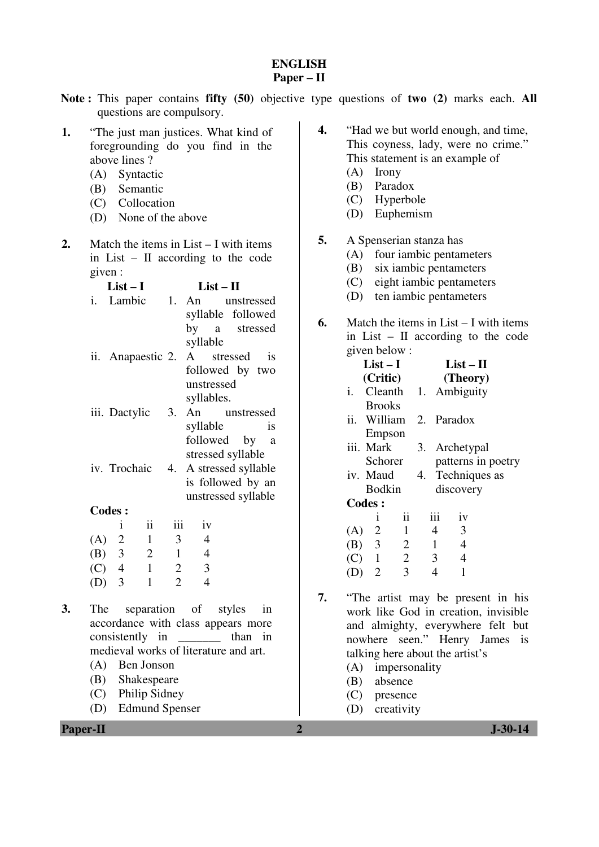## **ENGLISH Paper – II**

- **Note :** This paper contains **fifty (50)** objective type questions of **two (2)** marks each. **All** questions are compulsory.
- **1.** "The just man justices. What kind of foregrounding do you find in the above lines ?
	- (A) Syntactic
	- (B) Semantic
	- (C) Collocation
	- (D) None of the above
- **2.** Match the items in List I with items in List – II according to the code given :

|    | List $-1$         |    | List – H              |
|----|-------------------|----|-----------------------|
| i. | Lambic            |    | 1. An unstressed      |
|    |                   |    | syllable followed     |
|    |                   |    | by a stressed         |
|    |                   |    | syllable              |
|    | ii. Anapaestic 2. |    | A stressed<br>1S      |
|    |                   |    | followed by two       |
|    |                   |    | unstressed            |
|    |                   |    | syllables.            |
|    | iii. Dactylic     | 3. | An unstressed         |
|    |                   |    | syllable<br><i>is</i> |
|    |                   |    | followed by<br>a      |
|    |                   |    | stressed syllable     |
|    | iv. Trochaic      | 4. | A stressed syllable   |
|    |                   |    | is followed by an     |
|    |                   |    | unstressed syllable   |

## **Codes :**

|     |                | 11 | 111                         | 1V |
|-----|----------------|----|-----------------------------|----|
| (A) | $\overline{2}$ | 1  | 3                           |    |
| (B) | 3              | 2  |                             | 4  |
| (C) | 4              | 1  | 2                           | 3  |
| (D) | 3              |    | $\mathcal{D}_{\mathcal{L}}$ |    |

- **3.** The separation of styles in accordance with class appears more consistently in \_\_\_\_\_\_\_ than in medieval works of literature and art.
	- (A) Ben Jonson
	- (B) Shakespeare
	- (C) Philip Sidney
	- (D) Edmund Spenser
- **4.** "Had we but world enough, and time, This coyness, lady, were no crime." This statement is an example of (A) Irony
	- (B) Paradox
	- (C) Hyperbole
	-
	- (D) Euphemism
- **5.** A Spenserian stanza has
	- (A) four iambic pentameters
	- (B) six iambic pentameters
	- (C) eight iambic pentameters
	- (D) ten iambic pentameters
- **6.** Match the items in List I with items in List – II according to the code given below :

|     | $List-I$       |                     |  |                | $List-II$                 |                    |
|-----|----------------|---------------------|--|----------------|---------------------------|--------------------|
|     | (Critic)       |                     |  |                | (Theory)                  |                    |
|     |                |                     |  |                | i. Cleanth 1. Ambiguity   |                    |
|     | <b>Brooks</b>  |                     |  |                |                           |                    |
|     | ii. William    |                     |  |                | 2. Paradox                |                    |
|     | Empson         |                     |  |                |                           |                    |
|     | iii. Mark      |                     |  |                | 3. Archetypal             |                    |
|     | Schorer        |                     |  |                |                           | patterns in poetry |
|     |                |                     |  |                | iv. Maud 4. Techniques as |                    |
|     | Bodkin         |                     |  |                | discovery                 |                    |
|     | <b>Codes:</b>  |                     |  |                |                           |                    |
|     | Ť              | $\ddot{\mathbf{i}}$ |  | iii            | iv                        |                    |
|     | $(A)$ 2        | $\,1\,$             |  | 4              | 3                         |                    |
|     | $(B)$ 3        | 2                   |  | $\mathbf{1}$   | $\overline{4}$            |                    |
|     | $(C)$ 1 2      |                     |  | $\mathfrak{Z}$ | $\overline{4}$            |                    |
| (D) | $\overline{2}$ | 3                   |  | 4              | 1                         |                    |

- **7.** "The artist may be present in his work like God in creation, invisible and almighty, everywhere felt but nowhere seen." Henry James is talking here about the artist's
	- (A) impersonality
	- (B) absence
	- (C) presence
	- (D) creativity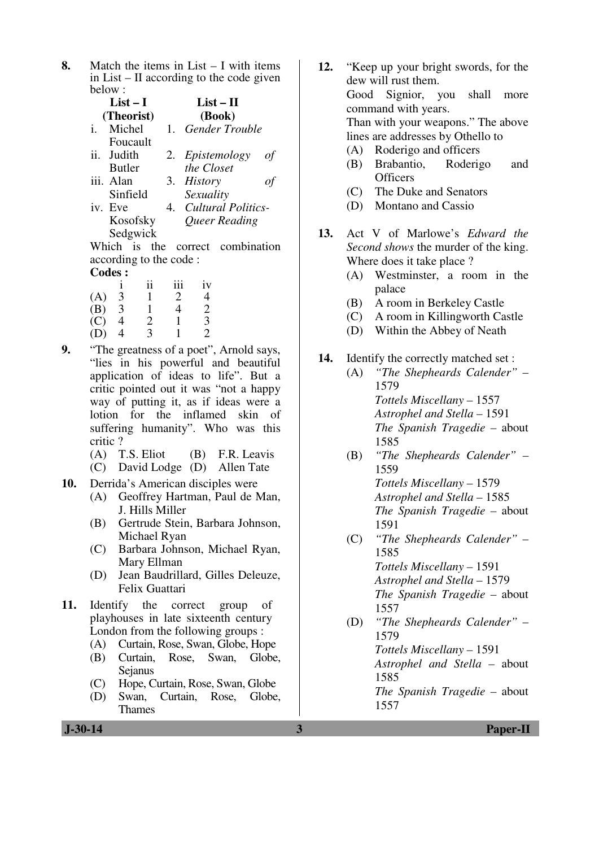**8.** Match the items in List – I with items in List – II according to the code given below :

|                   | List $-1$     | $List - II$       |    |
|-------------------|---------------|-------------------|----|
|                   | (Theorist)    | (Book)            |    |
| i.                | Michel        | 1. Gender Trouble |    |
|                   | Foucault      |                   |    |
| $\overline{11}$ . | <b>Judith</b> | 2. Epistemology   | οf |
|                   | <b>Butler</b> | the Closet        |    |

- iii. Alan Sinfield 3. *History of Sexuality*
- iv. Eve Kosofsky Sedgwick 4. *Cultural Politics-Queer Reading*

 Which is the correct combination according to the code : Codes ·

| Coues . |    |     |    |  |  |
|---------|----|-----|----|--|--|
|         | 11 | 111 | iv |  |  |
| 3       |    | 2   | 4  |  |  |
| 3       |    | 4   | 2  |  |  |
| 4       | 2  |     | 3  |  |  |
|         | 3  |     | っ  |  |  |
|         |    |     |    |  |  |

- **9.** "The greatness of a poet", Arnold says, "lies in his powerful and beautiful application of ideas to life". But a critic pointed out it was "not a happy way of putting it, as if ideas were a lotion for the inflamed skin of suffering humanity". Who was this critic ?
	- (A) T.S. Eliot (B) F.R. Leavis
	- (C) David Lodge (D) Allen Tate
- **10.** Derrida's American disciples were
	- (A) Geoffrey Hartman, Paul de Man, J. Hills Miller
	- (B) Gertrude Stein, Barbara Johnson, Michael Ryan
	- (C) Barbara Johnson, Michael Ryan, Mary Ellman
	- (D) Jean Baudrillard, Gilles Deleuze, Felix Guattari
- **11.** Identify the correct group of playhouses in late sixteenth century London from the following groups :
	- (A) Curtain, Rose, Swan, Globe, Hope
	- (B) Curtain, Rose, Swan, Globe, Sejanus
	- (C) Hope, Curtain, Rose, Swan, Globe
	- (D) Swan, Curtain, Rose, Globe, Thames
- **12.** "Keep up your bright swords, for the dew will rust them. Good Signior, you shall more command with years. Than with your weapons." The above lines are addresses by Othello to (A) Roderigo and officers (B) Brabantio, Roderigo and
	- **Officers** (C) The Duke and Senators
	- (D) Montano and Cassio
	-
- **13.** Act V of Marlowe's *Edward the Second shows* the murder of the king. Where does it take place ?
	- (A) Westminster, a room in the palace
	- (B) A room in Berkeley Castle
	- (C) A room in Killingworth Castle
	- (D) Within the Abbey of Neath
- **14.** Identify the correctly matched set :
	- (A) *"The Shepheards Calender"* 1579 *Tottels Miscellany –* 1557  *Astrophel and Stella –* 1591  *The Spanish Tragedie –* about 1585
	- (B) *"The Shepheards Calender"* 1559 *Tottels Miscellany –* 1579  *Astrophel and Stella –* 1585  *The Spanish Tragedie –* about 1591
	- (C) *"The Shepheards Calender"* 1585 *Tottels Miscellany –* 1591  *Astrophel and Stella –* 1579  *The Spanish Tragedie –* about 1557
	- (D) *"The Shepheards Calender"* 1579 *Tottels Miscellany –* 1591  *Astrophel and Stella –* about 1585

 *The Spanish Tragedie –* about 1557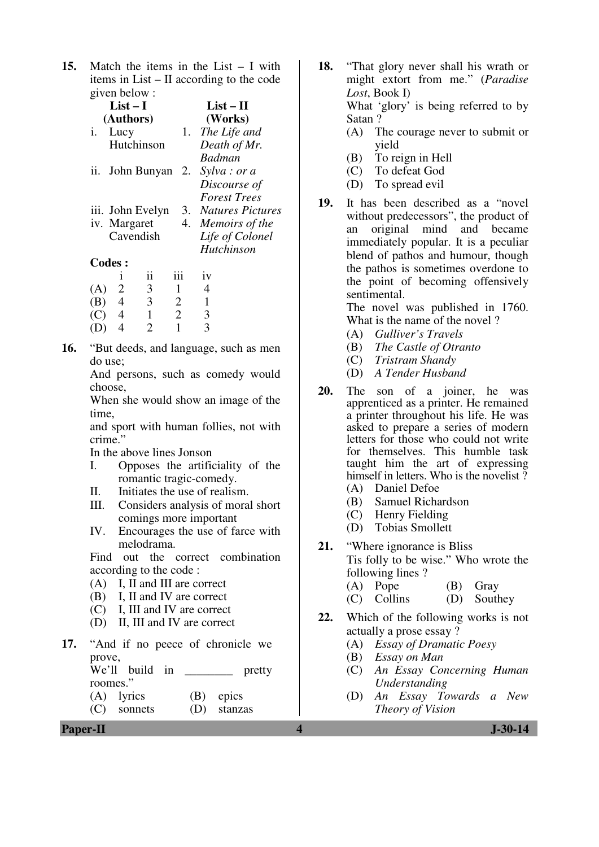**15.** Match the items in the List – I with items in List – II according to the code given below :

|               | $List-I$         |                |     | $List-II$                  |
|---------------|------------------|----------------|-----|----------------------------|
|               | (Authors)        |                |     | (Works)                    |
| i.            | Lucy             |                | 1.  | The Life and               |
|               | Hutchinson       |                |     | Death of Mr.               |
|               |                  |                |     | <b>Badman</b>              |
| 11.           |                  |                |     | John Bunyan 2. Sylva: or a |
|               |                  |                |     | Discourse of               |
|               |                  |                |     | <b>Forest Trees</b>        |
|               | iii. John Evelyn |                |     | 3. Natures Pictures        |
|               | iv. Margaret     |                |     | 4. Memoirs of the          |
|               | Cavendish        |                |     | Life of Colonel            |
|               |                  |                |     | Hutchinson                 |
| <b>Codes:</b> |                  |                |     |                            |
|               | 1                | ii             | iii | iv                         |
| (A)           | 2                | $\mathfrak{Z}$ | -1  | 4                          |
| $\mathbf B$   | 4                | 3              | 2   |                            |

**16.** "But deeds, and language, such as men do use;

(C)  $4$  1 2 3<br>(D)  $4$  2 1 3  $(D)$  4 2 1

 And persons, such as comedy would choose,

 When she would show an image of the time,

 and sport with human follies, not with crime."

In the above lines Jonson

- I. Opposes the artificiality of the romantic tragic-comedy.
- II. Initiates the use of realism.
- III. Considers analysis of moral short comings more important
- IV. Encourages the use of farce with melodrama.

 Find out the correct combination according to the code :

- (A) I, II and III are correct
- (B) I, II and IV are correct
- (C) I, III and IV are correct
- (D) II, III and IV are correct
- **17.** "And if no peece of chronicle we prove,

| We'll build in |  | pretty      |
|----------------|--|-------------|
| roomes."       |  |             |
| $(A)$ lyrics   |  | $(B)$ epics |

(C) sonnets (D) stanzas

**18.** "That glory never shall his wrath or might extort from me." (*Paradise Lost*, Book I) What 'glory' is being referred to by

> Satan ? (A) The courage never to submit or yield

- (B) To reign in Hell
- (C) To defeat God
- (D) To spread evil
- **19.** It has been described as a "novel without predecessors", the product of an original mind and became immediately popular. It is a peculiar blend of pathos and humour, though the pathos is sometimes overdone to the point of becoming offensively sentimental.

 The novel was published in 1760. What is the name of the novel ?

- (A) *Gulliver's Travels*
- (B) *The Castle of Otranto*
- (C) *Tristram Shandy*
- (D) *A Tender Husband*
- **20.** The son of a joiner, he was apprenticed as a printer. He remained a printer throughout his life. He was asked to prepare a series of modern letters for those who could not write for themselves. This humble task taught him the art of expressing himself in letters. Who is the novelist ? (A) Daniel Defoe
	- (B) Samuel Richardson
	- (C) Henry Fielding
	- (D) Tobias Smollett
- **21.** "Where ignorance is Bliss Tis folly to be wise." Who wrote the following lines ?
	- (A) Pope (B) Gray
	- (C) Collins (D) Southey
- **22.** Which of the following works is not actually a prose essay ?
	- (A) *Essay of Dramatic Poesy*
	- (B) *Essay on Man*
	- (C) *An Essay Concerning Human Understanding*
	- (D) *An Essay Towards a New Theory of Vision*

**Paper-II** J-30-14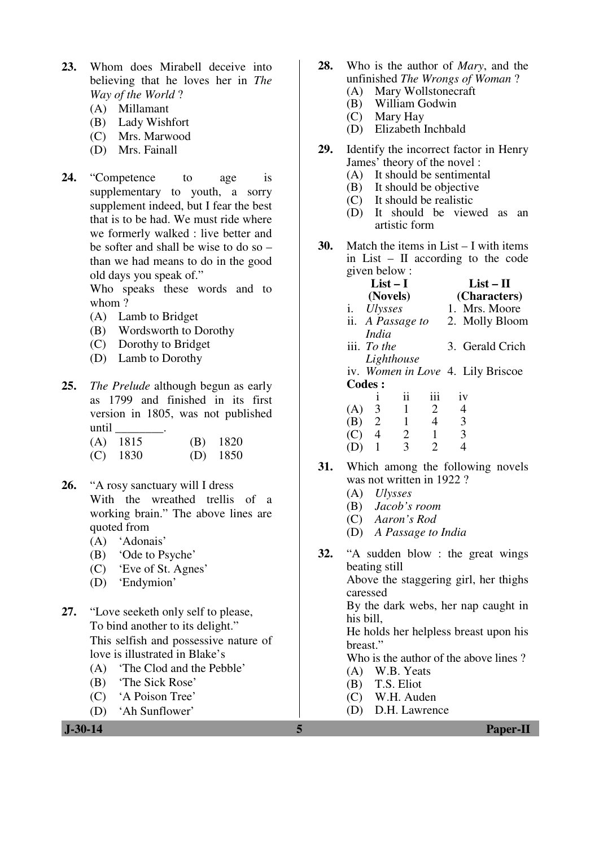- **23.** Whom does Mirabell deceive into believing that he loves her in *The Way of the World* ?
	- (A) Millamant
	- (B) Lady Wishfort
	- (C) Mrs. Marwood
	- (D) Mrs. Fainall
- **24.** "Competence to age is supplementary to youth, a sorry supplement indeed, but I fear the best that is to be had. We must ride where we formerly walked : live better and be softer and shall be wise to do so – than we had means to do in the good old days you speak of."

 Who speaks these words and to whom ?

- (A) Lamb to Bridget
- (B) Wordsworth to Dorothy
- (C) Dorothy to Bridget
- (D) Lamb to Dorothy
- **25.** *The Prelude* although begun as early as 1799 and finished in its first version in 1805, was not published until \_\_\_\_\_\_\_\_.

| $(A)$ 1815 | $(B)$ 1820 |
|------------|------------|
| $(C)$ 1830 | $(D)$ 1850 |

- **26.** "A rosy sanctuary will I dress With the wreathed trellis of a working brain." The above lines are quoted from
	- (A) 'Adonais'
	- (B) 'Ode to Psyche'
	- (C) 'Eve of St. Agnes'
	- (D) 'Endymion'
- **27.** "Love seeketh only self to please, To bind another to its delight." This selfish and possessive nature of love is illustrated in Blake's
	- (A) 'The Clod and the Pebble'
	- (B) 'The Sick Rose'
	- (C) 'A Poison Tree'
	- (D) 'Ah Sunflower'
- **28.** Who is the author of *Mary*, and the unfinished *The Wrongs of Woman* ?
	- (A) Mary Wollstonecraft<br>(B) William Godwin
	- William Godwin
	- (C) Mary Hay<br>(D) Elizabeth l
	- Elizabeth Inchbald
- **29.** Identify the incorrect factor in Henry James' theory of the novel :
	- (A) It should be sentimental<br>(B) It should be objective
	- It should be objective
	- (C) It should be realistic
	- (D) It should be viewed as an artistic form
- **30.** Match the items in List I with items in List – II according to the code given below :

|             | $List-I$<br>(Novels) |                  | List – H<br>(Characters) |                                   |  |
|-------------|----------------------|------------------|--------------------------|-----------------------------------|--|
|             | i. Ulysses           |                  |                          | 1. Mrs. Moore                     |  |
|             |                      | ii. A Passage to |                          | 2. Molly Bloom                    |  |
|             | India                |                  |                          |                                   |  |
|             | iii. To the          |                  |                          | 3. Gerald Crich                   |  |
|             |                      | Lighthouse       |                          |                                   |  |
|             |                      |                  |                          | iv. Women in Love 4. Lily Briscoe |  |
|             | <b>Codes:</b>        |                  |                          |                                   |  |
|             |                      | ii               | iii                      | 1V                                |  |
| (A)         | 3                    | 1                | 2                        | 4                                 |  |
| (B)         | 2                    | $\mathbf{1}$     | 4                        | 3                                 |  |
| $\mathbf C$ | 4                    | $\overline{2}$   |                          | 3                                 |  |
|             |                      | 3                | 2                        |                                   |  |

- **31.** Which among the following novels was not written in 1922?
	- (A) *Ulysses*
	- (B) *Jacob's room*
	- (C) *Aaron's Rod*
	- (D) *A Passage to India*
- **32.** "A sudden blow : the great wings beating still Above the staggering girl, her thighs caressed By the dark webs, her nap caught in his bill, He holds her helpless breast upon his breast." Who is the author of the above lines ? (A) W.B. Yeats (B) T.S. Eliot (C) W.H. Auden
	- (D) D.H. Lawrence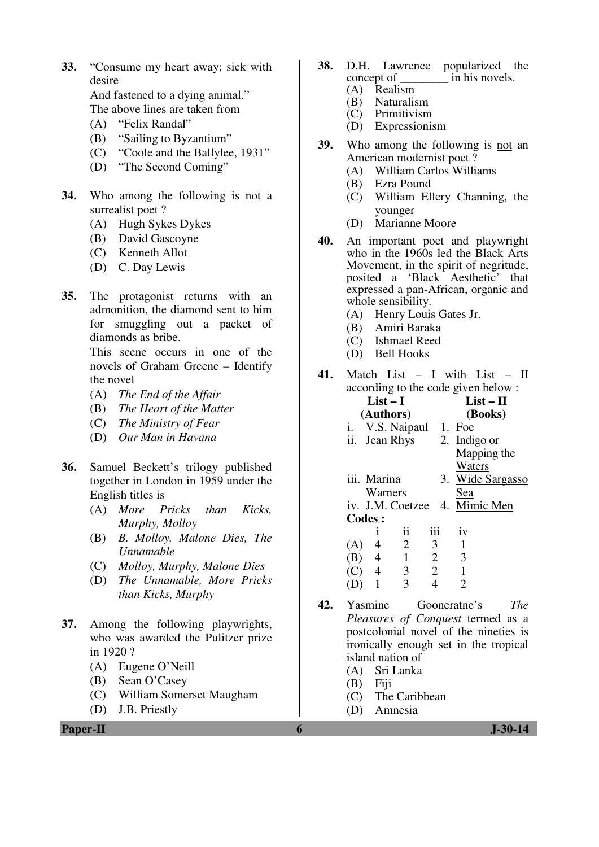**33.** "Consume my heart away; sick with desire

 And fastened to a dying animal." The above lines are taken from

- (A) "Felix Randal"
- (B) "Sailing to Byzantium"
- (C) "Coole and the Ballylee, 1931"
- (D) "The Second Coming"
- **34.** Who among the following is not a surrealist poet ?
	- (A) Hugh Sykes Dykes
	- (B) David Gascoyne
	- (C) Kenneth Allot
	- (D) C. Day Lewis
- **35.** The protagonist returns with an admonition, the diamond sent to him for smuggling out a packet of diamonds as bribe.

 This scene occurs in one of the novels of Graham Greene – Identify the novel

- (A) *The End of the Affair*
- (B) *The Heart of the Matter*
- (C) *The Ministry of Fear*
- (D) *Our Man in Havana*
- **36.** Samuel Beckett's trilogy published together in London in 1959 under the English titles is
	- (A) *More Pricks than Kicks, Murphy, Molloy*
	- (B) *B. Molloy, Malone Dies, The Unnamable*
	- (C) *Molloy, Murphy, Malone Dies*
	- (D) *The Unnamable, More Pricks than Kicks, Murphy*
- **37.** Among the following playwrights, who was awarded the Pulitzer prize in 1920 ?
	- (A) Eugene O'Neill
	- (B) Sean O'Casey
	- (C) William Somerset Maugham
	- (D) J.B. Priestly
- **38.** D.H. Lawrence popularized the concept of in his novels. in his novels.
	- (A) Realism
	- (B) Naturalism<br>(C) Primitivism
	- Primitivism
	- (D) Expressionism
- **39.** Who among the following is not an American modernist poet ?
	- (A) William Carlos Williams
	- (B) Ezra Pound
	- (C) William Ellery Channing, the younger
	- (D) Marianne Moore
- **40.** An important poet and playwright who in the 1960s led the Black Arts Movement, in the spirit of negritude, posited a 'Black Aesthetic' that expressed a pan-African, organic and whole sensibility.
	- (A) Henry Louis Gates Jr.
	- (B) Amiri Baraka
	- (C) Ishmael Reed
	- (D) Bell Hooks
- **41.** Match List I with List II according to the code given below :
	- **List I (Authors) List – II (Books)**  i. V.S. Naipaul 1. Foe ii. Jean Rhys 2. Indigo or Mapping the **Waters** iii. Marina Warners 3. Wide Sargasso Sea iv. J.M. Coetzee 4. Mimic Men **Codes :**

|     |   | 11                          | 111 | 1V                          |
|-----|---|-----------------------------|-----|-----------------------------|
| (A) | 4 | $\mathcal{D}_{\mathcal{L}}$ | 3   |                             |
| (B) | 4 |                             | 2   | 3                           |
| (C) | 4 | 3                           | 2   |                             |
| (D) |   | 3                           |     | $\mathcal{D}_{\mathcal{L}}$ |

- **42.** Yasmine Gooneratne's *The Pleasures of Conquest* termed as a postcolonial novel of the nineties is ironically enough set in the tropical island nation of
	- (A) Sri Lanka
	- (B) Fiji
	- (C) The Caribbean
	- (D) Amnesia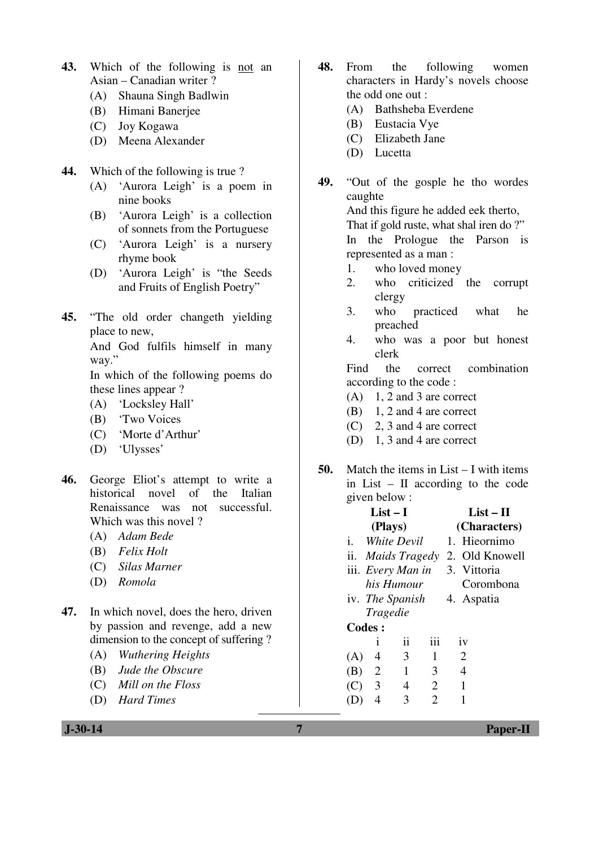- **43.** Which of the following is not an Asian – Canadian writer ?
	- (A) Shauna Singh Badlwin
	- (B) Himani Banerjee
	- (C) Joy Kogawa
	- (D) Meena Alexander
- **44.** Which of the following is true ?
	- (A) 'Aurora Leigh' is a poem in nine books
	- (B) 'Aurora Leigh' is a collection of sonnets from the Portuguese
	- (C) 'Aurora Leigh' is a nursery rhyme book
	- (D) 'Aurora Leigh' is "the Seeds and Fruits of English Poetry"
- **45.** "The old order changeth yielding place to new,

 And God fulfils himself in many way."

 In which of the following poems do these lines appear ?

- (A) 'Locksley Hall'
- (B) 'Two Voices
- (C) 'Morte d'Arthur'
- (D) 'Ulysses'
- **46.** George Eliot's attempt to write a historical novel of the Italian Renaissance was not successful. Which was this novel ?
	- (A) *Adam Bede*
	- (B) *Felix Holt*
	- (C) *Silas Marner*
	- (D) *Romola*
- **47.** In which novel, does the hero, driven by passion and revenge, add a new dimension to the concept of suffering ?
	- (A) *Wuthering Heights*
	- (B) *Jude the Obscure*
	- (C) *Mill on the Floss*
	- (D) *Hard Times*
- **48.** From the following women characters in Hardy's novels choose the odd one out :
	- (A) Bathsheba Everdene
	- (B) Eustacia Vye
	- (C) Elizabeth Jane
	- (D) Lucetta
- **49.** "Out of the gosple he tho wordes caughte And this figure he added eek therto,

That if gold ruste, what shal iren do ?"

 In the Prologue the Parson is represented as a man :

- 1. who loved money
- 2. who criticized the corrupt clergy
- 3. who practiced what he preached
- 4. who was a poor but honest clerk

 Find the correct combination according to the code :

- $(A)$  1, 2 and 3 are correct
- (B) 1, 2 and 4 are correct
- (C) 2, 3 and 4 are correct
- (D) 1, 3 and 4 are correct
- **50.** Match the items in List I with items in List – II according to the code given below :

|     | $List-I$        |                   |     |              | $List-II$      |  |
|-----|-----------------|-------------------|-----|--------------|----------------|--|
|     |                 | (Plays)           |     | (Characters) |                |  |
| i.  |                 | White Devil       |     |              | 1. Hieornimo   |  |
|     |                 | ii. Maids Tragedy |     |              | 2. Old Knowell |  |
|     |                 | iii. Every Man in |     |              | 3. Vittoria    |  |
|     | his Humour      |                   |     |              | Corombona      |  |
|     |                 | iv. The Spanish   |     |              | 4. Aspatia     |  |
|     | <i>Tragedie</i> |                   |     |              |                |  |
|     | <b>Codes:</b>   |                   |     |              |                |  |
|     | Ť               | ii                | iii |              | iv             |  |
| (A) | 4               | 3                 | 1   |              | $\overline{2}$ |  |
| (B) | 2               | $\mathbf{1}$      | 3   |              | $\overline{4}$ |  |
| (C) | 3               | 4                 | 2   |              | 1              |  |
|     | 4               | 3                 | 2   |              |                |  |